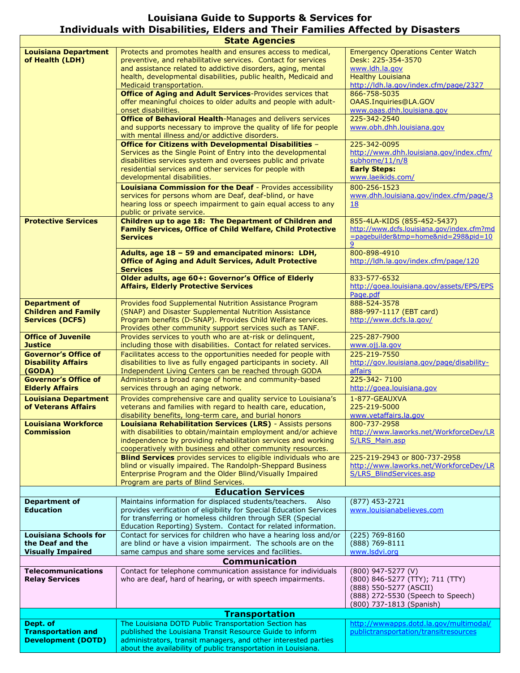## **Louisiana Guide to Supports & Services for Individuals with Disabilities, Elders and Their Families Affected by Disasters**

| <b>State Agencies</b>                                                        |                                                                                                                                                                                                                                                                                 |                                                                                                                                                  |  |
|------------------------------------------------------------------------------|---------------------------------------------------------------------------------------------------------------------------------------------------------------------------------------------------------------------------------------------------------------------------------|--------------------------------------------------------------------------------------------------------------------------------------------------|--|
| <b>Louisiana Department</b><br>of Health (LDH)                               | Protects and promotes health and ensures access to medical,<br>preventive, and rehabilitative services. Contact for services<br>and assistance related to addictive disorders, aging, mental<br>health, developmental disabilities, public health, Medicaid and                 | <b>Emergency Operations Center Watch</b><br>Desk: 225-354-3570<br>www.ldh.la.gov<br><b>Healthy Louisiana</b>                                     |  |
|                                                                              | Medicaid transportation.<br>Office of Aging and Adult Services-Provides services that<br>offer meaningful choices to older adults and people with adult-<br>onset disabilities.                                                                                                 | http://ldh.la.gov/index.cfm/page/2327<br>866-758-5035<br>OAAS.Inquiries@LA.GOV<br>www.oaas.dhh.louisiana.gov                                     |  |
|                                                                              | Office of Behavioral Health-Manages and delivers services<br>and supports necessary to improve the quality of life for people<br>with mental illness and/or addictive disorders.                                                                                                | 225-342-2540<br>www.obh.dhh.louisiana.gov                                                                                                        |  |
|                                                                              | Office for Citizens with Developmental Disabilities -<br>Services as the Single Point of Entry into the developmental<br>disabilities services system and oversees public and private<br>residential services and other services for people with<br>developmental disabilities. | 225-342-0095<br>http://www.dhh.louisiana.gov/index.cfm/<br>subhome/11/n/8<br><b>Early Steps:</b><br>www.laeikids.com/                            |  |
|                                                                              | <b>Louisiana Commission for the Deaf - Provides accessibility</b><br>services for persons whom are Deaf, deaf-blind, or have<br>hearing loss or speech impairment to gain equal access to any<br>public or private service.                                                     | 800-256-1523<br>www.dhh.louisiana.gov/index.cfm/page/3<br><u>18</u>                                                                              |  |
| <b>Protective Services</b>                                                   | Children up to age 18: The Department of Children and<br><b>Family Services, Office of Child Welfare, Child Protective</b><br><b>Services</b>                                                                                                                                   | 855-4LA-KIDS (855-452-5437)<br>http://www.dcfs.louisiana.gov/index.cfm?md<br>=pagebuilder&tmp=home&nid=298&pid=10<br>9                           |  |
|                                                                              | Adults, age 18 - 59 and emancipated minors: LDH,<br><b>Office of Aging and Adult Services, Adult Protective</b><br><b>Services</b>                                                                                                                                              | 800-898-4910<br>http://ldh.la.gov/index.cfm/page/120                                                                                             |  |
|                                                                              | Older adults, age 60+: Governor's Office of Elderly<br><b>Affairs, Elderly Protective Services</b>                                                                                                                                                                              | 833-577-6532<br>http://goea.louisiana.gov/assets/EPS/EPS<br>Page.pdf                                                                             |  |
| <b>Department of</b><br><b>Children and Family</b><br><b>Services (DCFS)</b> | Provides food Supplemental Nutrition Assistance Program<br>(SNAP) and Disaster Supplemental Nutrition Assistance<br>Program benefits (D-SNAP). Provides Child Welfare services.<br>Provides other community support services such as TANF.                                      | 888-524-3578<br>888-997-1117 (EBT card)<br>http://www.dcfs.la.gov/                                                                               |  |
| <b>Office of Juvenile</b><br><b>Justice</b>                                  | Provides services to youth who are at-risk or delinquent,<br>including those with disabilities. Contact for related services.                                                                                                                                                   | 225-287-7900<br>www.oji.la.gov                                                                                                                   |  |
| <b>Governor's Office of</b><br><b>Disability Affairs</b><br>(GODA)           | Facilitates access to the opportunities needed for people with<br>disabilities to live as fully engaged participants in society. All<br>Independent Living Centers can be reached through GODA                                                                                  | 225-219-7550<br>http://gov.louisiana.gov/page/disability-<br>affairs                                                                             |  |
| <b>Governor's Office of</b><br><b>Elderly Affairs</b>                        | Administers a broad range of home and community-based<br>services through an aging network.                                                                                                                                                                                     | 225-342-7100<br>http://goea.louisiana.gov                                                                                                        |  |
| <b>Louisiana Department</b><br>of Veterans Affairs                           | Provides comprehensive care and quality service to Louisiana's<br>veterans and families with regard to health care, education,<br>disability benefits, long-term care, and burial honors                                                                                        | 1-877-GEAUXVA<br>225-219-5000<br>www.vetaffairs.la.gov                                                                                           |  |
| <b>Louisiana Workforce</b><br>Commission                                     | <b>Louisiana Rehabilitation Services (LRS)</b> - Assists persons<br>with disabilities to obtain/maintain employment and/or achieve<br>independence by providing rehabilitation services and working<br>cooperatively with business and other community resources.               | 800-737-2958<br>http://www.laworks.net/WorkforceDev/LR<br><b>S/LRS Main.asp</b>                                                                  |  |
|                                                                              | <b>Blind Services</b> provides services to eligible individuals who are<br>blind or visually impaired. The Randolph-Sheppard Business<br>Enterprise Program and the Older Blind/Visually Impaired<br>Program are parts of Blind Services.                                       | 225-219-2943 or 800-737-2958<br>http://www.laworks.net/WorkforceDev/LR<br>S/LRS BlindServices.asp                                                |  |
| <b>Education Services</b>                                                    |                                                                                                                                                                                                                                                                                 |                                                                                                                                                  |  |
| <b>Department of</b><br><b>Education</b>                                     | Maintains information for displaced students/teachers.<br>Also<br>provides verification of eligibility for Special Education Services<br>for transferring or homeless children through SER (Special<br>Education Reporting) System. Contact for related information.            | $(877)$ 453-2721<br>www.louisianabelieves.com                                                                                                    |  |
| <b>Louisiana Schools for</b><br>the Deaf and the<br><b>Visually Impaired</b> | Contact for services for children who have a hearing loss and/or<br>are blind or have a vision impairment. The schools are on the<br>same campus and share some services and facilities.                                                                                        | (225) 769-8160<br>(888) 769-8111<br>www.lsdvi.org                                                                                                |  |
|                                                                              | <b>Communication</b>                                                                                                                                                                                                                                                            |                                                                                                                                                  |  |
| <b>Telecommunications</b><br><b>Relay Services</b>                           | Contact for telephone communication assistance for individuals<br>who are deaf, hard of hearing, or with speech impairments.                                                                                                                                                    | (800) 947-5277 (V)<br>(800) 846-5277 (TTY); 711 (TTY)<br>(888) 550-5277 (ASCII)<br>(888) 272-5530 (Speech to Speech)<br>(800) 737-1813 (Spanish) |  |
|                                                                              | <b>Transportation</b>                                                                                                                                                                                                                                                           |                                                                                                                                                  |  |
| Dept. of                                                                     | The Louisiana DOTD Public Transportation Section has                                                                                                                                                                                                                            | http://wwwapps.dotd.la.gov/multimodal/                                                                                                           |  |
| <b>Transportation and</b><br><b>Development (DOTD)</b>                       | published the Louisiana Transit Resource Guide to inform<br>administrators, transit managers, and other interested parties                                                                                                                                                      | publictransportation/transitresources                                                                                                            |  |
|                                                                              | about the availability of public transportation in Louisiana.                                                                                                                                                                                                                   |                                                                                                                                                  |  |